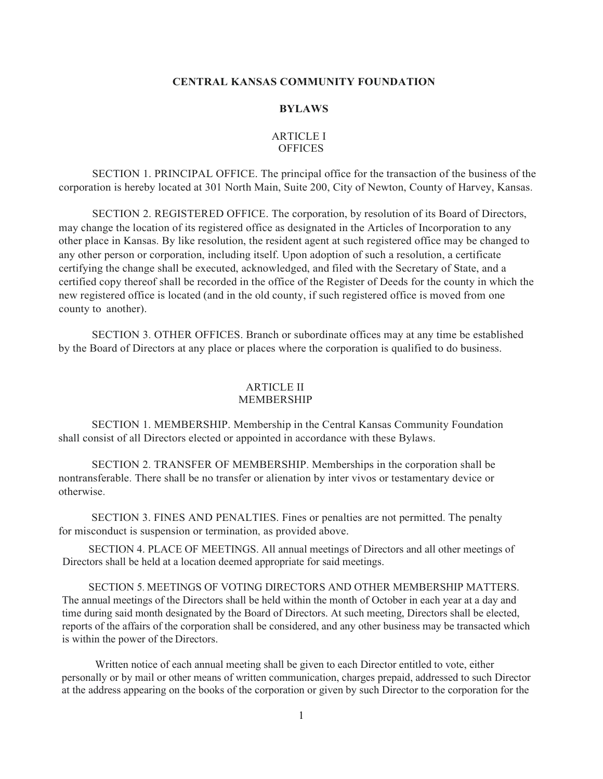## **CENTRAL KANSAS COMMUNITY FOUNDATION**

#### **BYLAWS**

# ARTICLE I OFFICES

SECTION 1. PRINCIPAL OFFICE. The principal office for the transaction of the business of the corporation is hereby located at 301 North Main, Suite 200, City of Newton, County of Harvey, Kansas.

SECTION 2. REGISTERED OFFICE. The corporation, by resolution of its Board of Directors, may change the location of its registered office as designated in the Articles of Incorporation to any other place in Kansas. By like resolution, the resident agent at such registered office may be changed to any other person or corporation, including itself. Upon adoption of such a resolution, a certificate certifying the change shall be executed, acknowledged, and filed with the Secretary of State, and a certified copy thereof shall be recorded in the office of the Register of Deeds for the county in which the new registered office is located (and in the old county, if such registered office is moved from one county to another).

SECTION 3. OTHER OFFICES. Branch or subordinate offices may at any time be established by the Board of Directors at any place or places where the corporation is qualified to do business.

## ARTICLE II MEMBERSHIP

SECTION 1. MEMBERSHIP. Membership in the Central Kansas Community Foundation shall consist of all Directors elected or appointed in accordance with these Bylaws.

SECTION 2. TRANSFER OF MEMBERSHIP. Memberships in the corporation shall be nontransferable. There shall be no transfer or alienation by inter vivos or testamentary device or otherwise.

SECTION 3. FINES AND PENALTIES. Fines or penalties are not permitted. The penalty for misconduct is suspension or termination, as provided above.

SECTION 4. PLACE OF MEETINGS. All annual meetings of Directors and all other meetings of Directors shall be held at a location deemed appropriate for said meetings.

SECTION 5. MEETINGS OF VOTING DIRECTORS AND OTHER MEMBERSHIP MATTERS. The annual meetings of the Directors shall be held within the month of October in each year at a day and time during said month designated by the Board of Directors. At such meeting, Directors shall be elected, reports of the affairs of the corporation shall be considered, and any other business may be transacted which is within the power of the Directors.

Written notice of each annual meeting shall be given to each Director entitled to vote, either personally or by mail or other means of written communication, charges prepaid, addressed to such Director at the address appearing on the books of the corporation or given by such Director to the corporation for the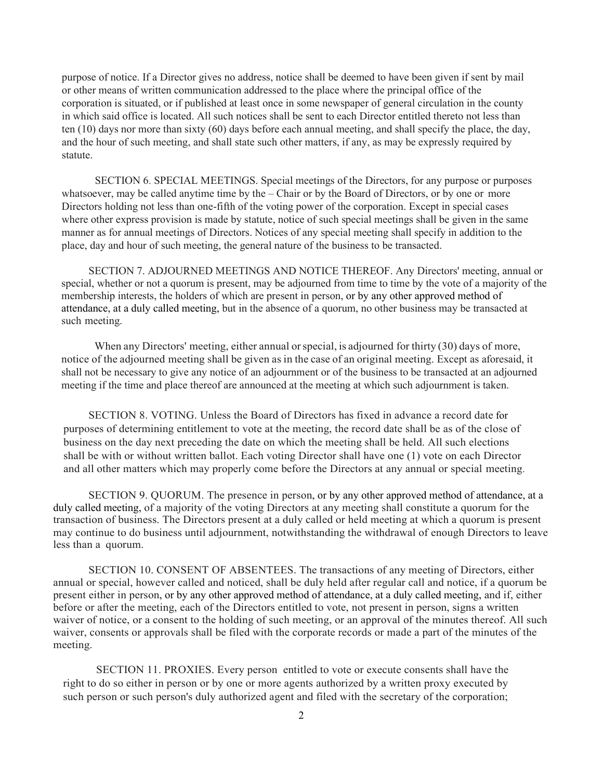purpose of notice. If a Director gives no address, notice shall be deemed to have been given if sent by mail or other means of written communication addressed to the place where the principal office of the corporation is situated, or if published at least once in some newspaper of general circulation in the county in which said office is located. All such notices shall be sent to each Director entitled thereto not less than ten (10) days nor more than sixty (60) days before each annual meeting, and shall specify the place, the day, and the hour of such meeting, and shall state such other matters, if any, as may be expressly required by statute.

SECTION 6. SPECIAL MEETINGS. Special meetings of the Directors, for any purpose or purposes whatsoever, may be called anytime time by the – Chair or by the Board of Directors, or by one or more Directors holding not less than one-fifth of the voting power of the corporation. Except in special cases where other express provision is made by statute, notice of such special meetings shall be given in the same manner as for annual meetings of Directors. Notices of any special meeting shall specify in addition to the place, day and hour of such meeting, the general nature of the business to be transacted.

SECTION 7. ADJOURNED MEETINGS AND NOTICE THEREOF. Any Directors' meeting, annual or special, whether or not a quorum is present, may be adjourned from time to time by the vote of a majority of the membership interests, the holders of which are present in person, or by any other approved method of attendance, at a duly called meeting, but in the absence of a quorum, no other business may be transacted at such meeting.

When any Directors' meeting, either annual or special, is adjourned for thirty (30) days of more, notice of the adjourned meeting shall be given as in the case of an original meeting. Except as aforesaid, it shall not be necessary to give any notice of an adjournment or of the business to be transacted at an adjourned meeting if the time and place thereof are announced at the meeting at which such adjournment is taken.

SECTION 8. VOTING. Unless the Board of Directors has fixed in advance a record date for purposes of determining entitlement to vote at the meeting, the record date shall be as of the close of business on the day next preceding the date on which the meeting shall be held. All such elections shall be with or without written ballot. Each voting Director shall have one (1) vote on each Director and all other matters which may properly come before the Directors at any annual or special meeting.

SECTION 9. QUORUM. The presence in person, or by any other approved method of attendance, at a duly called meeting, of a majority of the voting Directors at any meeting shall constitute a quorum for the transaction of business. The Directors present at a duly called or held meeting at which a quorum is present may continue to do business until adjournment, notwithstanding the withdrawal of enough Directors to leave less than a quorum.

SECTION 10. CONSENT OF ABSENTEES. The transactions of any meeting of Directors, either annual or special, however called and noticed, shall be duly held after regular call and notice, if a quorum be present either in person, or by any other approved method of attendance, at a duly called meeting, and if, either before or after the meeting, each of the Directors entitled to vote, not present in person, signs a written waiver of notice, or a consent to the holding of such meeting, or an approval of the minutes thereof. All such waiver, consents or approvals shall be filed with the corporate records or made a part of the minutes of the meeting.

SECTION 11. PROXIES. Every person entitled to vote or execute consents shall have the right to do so either in person or by one or more agents authorized by a written proxy executed by such person or such person's duly authorized agent and filed with the secretary of the corporation;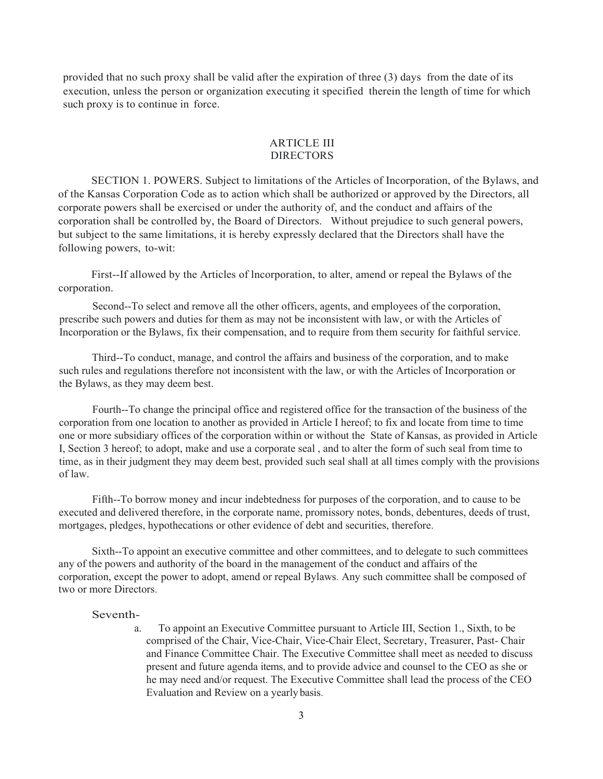provided that no such proxy shall be valid after the expiration of three (3) days from the date of its execution, unless the person or organization executing it specified therein the length of time for which such proxy is to continue in force.

## ARTICLE III DIRECTORS

SECTION 1. POWERS. Subject to limitations of the Articles of Incorporation, of the Bylaws, and of the Kansas Corporation Code as to action which shall be authorized or approved by the Directors, all corporate powers shall be exercised or under the authority of, and the conduct and affairs of the corporation shall be controlled by, the Board of Directors. Without prejudice to such general powers, but subject to the same limitations, it is hereby expressly declared that the Directors shall have the following powers, to-wit:

First--If allowed by the Articles of lncorporation, to alter, amend or repeal the Bylaws of the corporation.

Second--To select and remove all the other officers, agents, and employees of the corporation, prescribe such powers and duties for them as may not be inconsistent with law, or with the Articles of Incorporation or the Bylaws, fix their compensation, and to require from them security for faithful service.

Third--To conduct, manage, and control the affairs and business of the corporation, and to make such rules and regulations therefore not inconsistent with the law, or with the Articles of Incorporation or the Bylaws, as they may deem best.

Fourth--To change the principal office and registered office for the transaction of the business of the corporation from one location to another as provided in Article I hereof; to fix and locate from time to time one or more subsidiary offices of the corporation within or without the State of Kansas, as provided in Article I, Section 3 hereof; to adopt, make and use a corporate seal , and to alter the form of such seal from time to time, as in their judgment they may deem best, provided such seal shall at all times comply with the provisions of law.

Fifth--To borrow money and incur indebtedness for purposes of the corporation, and to cause to be executed and delivered therefore, in the corporate name, promissory notes, bonds, debentures, deeds of trust, mortgages, pledges, hypothecations or other evidence of debt and securities, therefore.

Sixth--To appoint an executive committee and other committees, and to delegate to such committees any of the powers and authority of the board in the management of the conduct and affairs of the corporation, except the power to adopt, amend or repeal Bylaws. Any such committee shall be composed of two or more Directors.

#### Seventh-

a. To appoint an Executive Committee pursuant to Article III, Section 1., Sixth, to be comprised of the Chair, Vice-Chair, Vice-Chair Elect, Secretary, Treasurer, Past- Chair and Finance Committee Chair. The Executive Committee shall meet as needed to discuss present and future agenda items, and to provide advice and counsel to the CEO as she or he may need and/or request. The Executive Committee shall lead the process of the CEO Evaluation and Review on a yearly basis.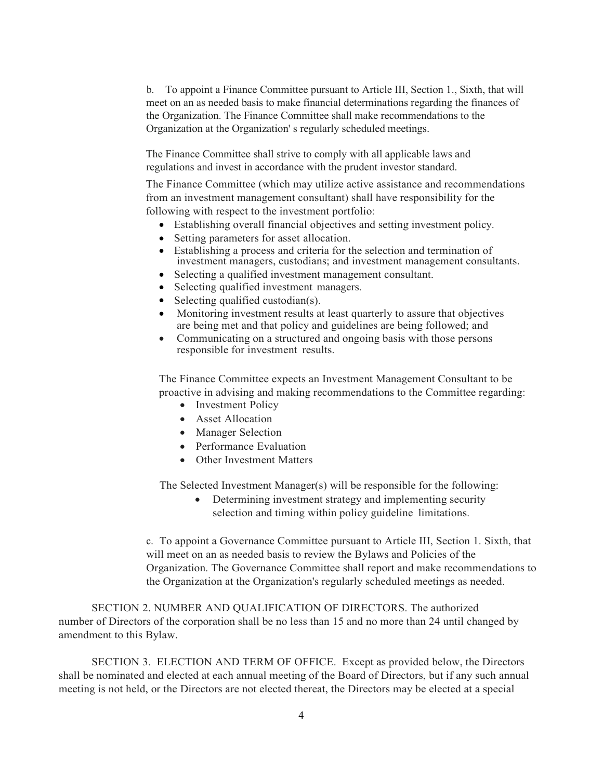b. To appoint a Finance Committee pursuant to Article III, Section 1., Sixth, that will meet on an as needed basis to make financial determinations regarding the finances of the Organization. The Finance Committee shall make recommendations to the Organization at the Organization' s regularly scheduled meetings.

The Finance Committee shall strive to comply with all applicable laws and regulations and invest in accordance with the prudent investor standard.

The Finance Committee (which may utilize active assistance and recommendations from an investment management consultant) shall have responsibility for the following with respect to the investment portfolio:

- Establishing overall financial objectives and setting investment policy.
- Setting parameters for asset allocation.
- Establishing a process and criteria for the selection and termination of investment managers, custodians; and investment management consultants.
- Selecting a qualified investment management consultant.
- Selecting qualified investment managers.
- Selecting qualified custodian(s).
- Monitoring investment results at least quarterly to assure that objectives are being met and that policy and guidelines are being followed; and
- Communicating on a structured and ongoing basis with those persons responsible for investment results.

The Finance Committee expects an Investment Management Consultant to be proactive in advising and making recommendations to the Committee regarding:

- Investment Policy
- Asset Allocation
- Manager Selection
- Performance Evaluation
- Other Investment Matters

The Selected Investment Manager(s) will be responsible for the following:

• Determining investment strategy and implementing security selection and timing within policy guideline limitations.

c. To appoint a Governance Committee pursuant to Article III, Section 1. Sixth, that will meet on an as needed basis to review the Bylaws and Policies of the Organization. The Governance Committee shall report and make recommendations to the Organization at the Organization's regularly scheduled meetings as needed.

SECTION 2. NUMBER AND QUALIFICATION OF DIRECTORS. The authorized number of Directors of the corporation shall be no less than 15 and no more than 24 until changed by amendment to this Bylaw.

SECTION 3. ELECTION AND TERM OF OFFICE. Except as provided below, the Directors shall be nominated and elected at each annual meeting of the Board of Directors, but if any such annual meeting is not held, or the Directors are not elected thereat, the Directors may be elected at a special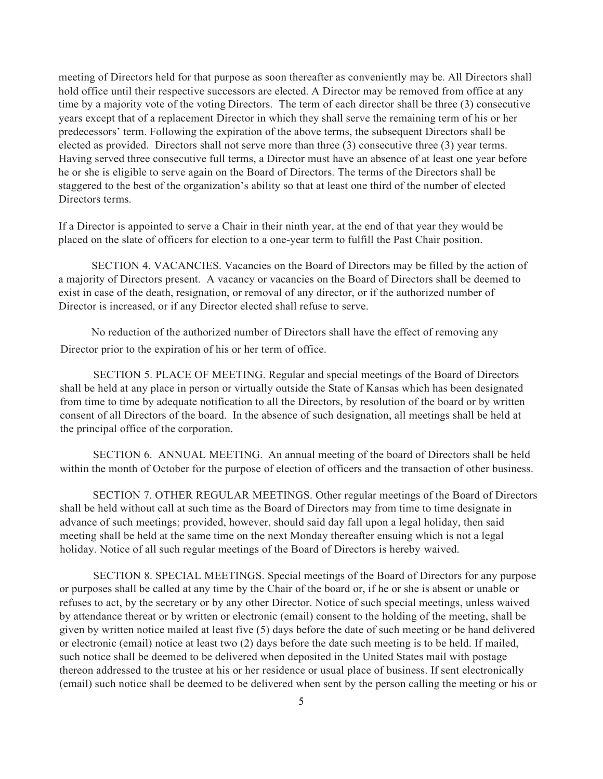meeting of Directors held for that purpose as soon thereafter as conveniently may be. All Directors shall hold office until their respective successors are elected. A Director may be removed from office at any time by a majority vote of the voting Directors. The term of each director shall be three (3) consecutive years except that of a replacement Director in which they shall serve the remaining term of his or her predecessors' term. Following the expiration of the above terms, the subsequent Directors shall be elected as provided. Directors shall not serve more than three (3) consecutive three (3) year terms. Having served three consecutive full terms, a Director must have an absence of at least one year before he or she is eligible to serve again on the Board of Directors. The terms of the Directors shall be staggered to the best of the organization's ability so that at least one third of the number of elected Directors terms.

If a Director is appointed to serve a Chair in their ninth year, at the end of that year they would be placed on the slate of officers for election to a one-year term to fulfill the Past Chair position.

SECTION 4. VACANCIES. Vacancies on the Board of Directors may be filled by the action of a majority of Directors present. A vacancy or vacancies on the Board of Directors shall be deemed to exist in case of the death, resignation, or removal of any director, or if the authorized number of Director is increased, or if any Director elected shall refuse to serve.

No reduction of the authorized number of Directors shall have the effect of removing any Director prior to the expiration of his or her term of office.

SECTION 5. PLACE OF MEETING. Regular and special meetings of the Board of Directors shall be held at any place in person or virtually outside the State of Kansas which has been designated from time to time by adequate notification to all the Directors, by resolution of the board or by written consent of all Directors of the board. In the absence of such designation, all meetings shall be held at the principal office of the corporation.

SECTION 6. ANNUAL MEETING. An annual meeting of the board of Directors shall be held within the month of October for the purpose of election of officers and the transaction of other business.

SECTION 7. OTHER REGULAR MEETINGS. Other regular meetings of the Board of Directors shall be held without call at such time as the Board of Directors may from time to time designate in advance of such meetings; provided, however, should said day fall upon a legal holiday, then said meeting shall be held at the same time on the next Monday thereafter ensuing which is not a legal holiday. Notice of all such regular meetings of the Board of Directors is hereby waived.

SECTION 8. SPECIAL MEETINGS. Special meetings of the Board of Directors for any purpose or purposes shall be called at any time by the Chair of the board or, if he or she is absent or unable or refuses to act, by the secretary or by any other Director. Notice of such special meetings, unless waived by attendance thereat or by written or electronic (email) consent to the holding of the meeting, shall be given by written notice mailed at least five (5) days before the date of such meeting or be hand delivered or electronic (email) notice at least two (2) days before the date such meeting is to be held. If mailed, such notice shall be deemed to be delivered when deposited in the United States mail with postage thereon addressed to the trustee at his or her residence or usual place of business. If sent electronically (email) such notice shall be deemed to be delivered when sent by the person calling the meeting or his or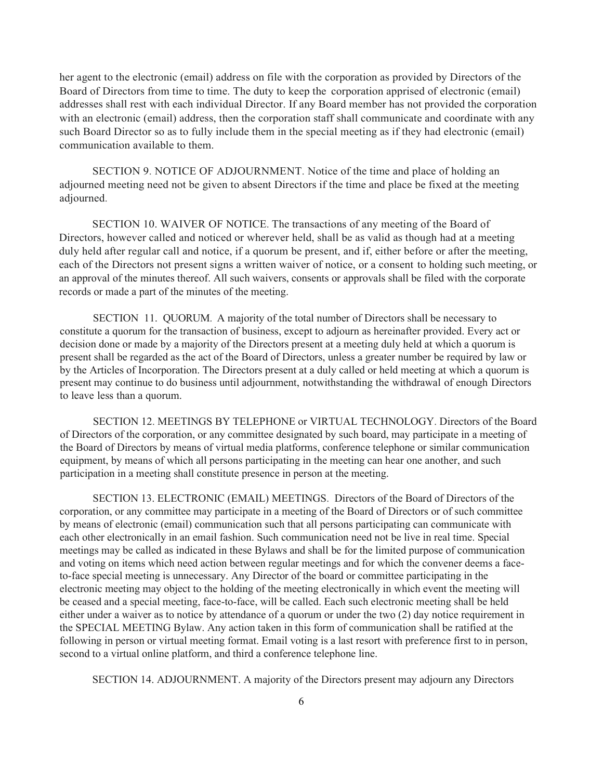her agent to the electronic (email) address on file with the corporation as provided by Directors of the Board of Directors from time to time. The duty to keep the corporation apprised of electronic (email) addresses shall rest with each individual Director. If any Board member has not provided the corporation with an electronic (email) address, then the corporation staff shall communicate and coordinate with any such Board Director so as to fully include them in the special meeting as if they had electronic (email) communication available to them.

SECTION 9. NOTICE OF ADJOURNMENT. Notice of the time and place of holding an adjourned meeting need not be given to absent Directors if the time and place be fixed at the meeting adjourned.

SECTION 10. WAIVER OF NOTICE. The transactions of any meeting of the Board of Directors, however called and noticed or wherever held, shall be as valid as though had at a meeting duly held after regular call and notice, if a quorum be present, and if, either before or after the meeting, each of the Directors not present signs a written waiver of notice, or a consent to holding such meeting, or an approval of the minutes thereof. All such waivers, consents or approvals shall be filed with the corporate records or made a part of the minutes of the meeting.

SECTION 11. QUORUM. A majority of the total number of Directors shall be necessary to constitute a quorum for the transaction of business, except to adjourn as hereinafter provided. Every act or decision done or made by a majority of the Directors present at a meeting duly held at which a quorum is present shall be regarded as the act of the Board of Directors, unless a greater number be required by law or by the Articles of Incorporation. The Directors present at a duly called or held meeting at which a quorum is present may continue to do business until adjournment, notwithstanding the withdrawal of enough Directors to leave less than a quorum.

SECTION 12. MEETINGS BY TELEPHONE or VIRTUAL TECHNOLOGY. Directors of the Board of Directors of the corporation, or any committee designated by such board, may participate in a meeting of the Board of Directors by means of virtual media platforms, conference telephone or similar communication equipment, by means of which all persons participating in the meeting can hear one another, and such participation in a meeting shall constitute presence in person at the meeting.

SECTION 13. ELECTRONIC (EMAIL) MEETINGS. Directors of the Board of Directors of the corporation, or any committee may participate in a meeting of the Board of Directors or of such committee by means of electronic (email) communication such that all persons participating can communicate with each other electronically in an email fashion. Such communication need not be live in real time. Special meetings may be called as indicated in these Bylaws and shall be for the limited purpose of communication and voting on items which need action between regular meetings and for which the convener deems a faceto-face special meeting is unnecessary. Any Director of the board or committee participating in the electronic meeting may object to the holding of the meeting electronically in which event the meeting will be ceased and a special meeting, face-to-face, will be called. Each such electronic meeting shall be held either under a waiver as to notice by attendance of a quorum or under the two (2) day notice requirement in the SPECIAL MEETING Bylaw. Any action taken in this form of communication shall be ratified at the following in person or virtual meeting format. Email voting is a last resort with preference first to in person, second to a virtual online platform, and third a conference telephone line.

SECTION 14. ADJOURNMENT. A majority of the Directors present may adjourn any Directors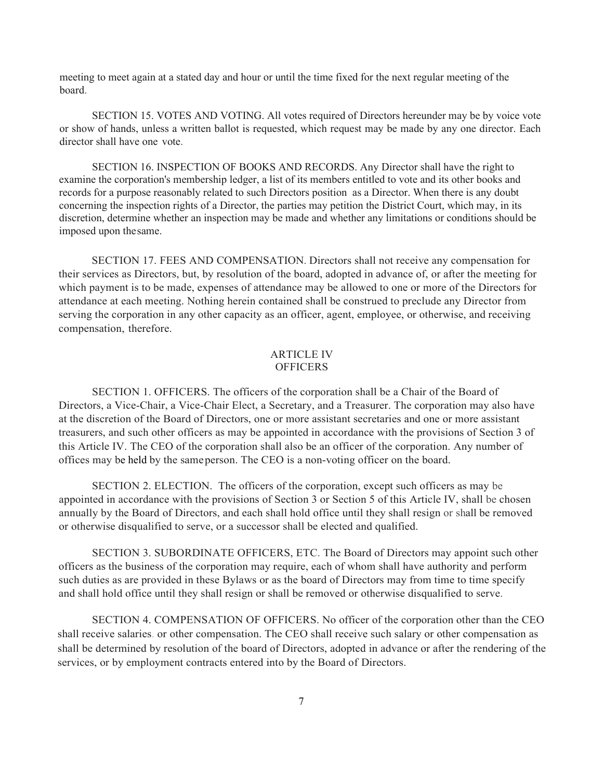meeting to meet again at a stated day and hour or until the time fixed for the next regular meeting of the board.

SECTION 15. VOTES AND VOTING. All votes required of Directors hereunder may be by voice vote or show of hands, unless a written ballot is requested, which request may be made by any one director. Each director shall have one vote.

SECTION 16. INSPECTION OF BOOKS AND RECORDS. Any Director shall have the right to examine the corporation's membership ledger, a list of its members entitled to vote and its other books and records for a purpose reasonably related to such Directors position as a Director. When there is any doubt concerning the inspection rights of a Director, the parties may petition the District Court, which may, in its discretion, determine whether an inspection may be made and whether any limitations or conditions should be imposed upon thesame.

SECTION 17. FEES AND COMPENSATION. Directors shall not receive any compensation for their services as Directors, but, by resolution of the board, adopted in advance of, or after the meeting for which payment is to be made, expenses of attendance may be allowed to one or more of the Directors for attendance at each meeting. Nothing herein contained shall be construed to preclude any Director from serving the corporation in any other capacity as an officer, agent, employee, or otherwise, and receiving compensation, therefore.

#### ARTICLE IV **OFFICERS**

SECTION 1. OFFICERS. The officers of the corporation shall be a Chair of the Board of Directors, a Vice-Chair, a Vice-Chair Elect, a Secretary, and a Treasurer. The corporation may also have at the discretion of the Board of Directors, one or more assistant secretaries and one or more assistant treasurers, and such other officers as may be appointed in accordance with the provisions of Section 3 of this Article IV. The CEO of the corporation shall also be an officer of the corporation. Any number of offices may be held by the sameperson. The CEO is a non-voting officer on the board.

SECTION 2. ELECTION. The officers of the corporation, except such officers as may be appointed in accordance with the provisions of Section 3 or Section 5 of this Article IV, shall be chosen annually by the Board of Directors, and each shall hold office until they shall resign or shall be removed or otherwise disqualified to serve, or a successor shall be elected and qualified.

SECTION 3. SUBORDINATE OFFICERS, ETC. The Board of Directors may appoint such other officers as the business of the corporation may require, each of whom shall have authority and perform such duties as are provided in these Bylaws or as the board of Directors may from time to time specify and shall hold office until they shall resign or shall be removed or otherwise disqualified to serve.

SECTION 4. COMPENSATION OF OFFICERS. No officer of the corporation other than the CEO shall receive salaries. or other compensation. The CEO shall receive such salary or other compensation as shall be determined by resolution of the board of Directors, adopted in advance or after the rendering of the services, or by employment contracts entered into by the Board of Directors.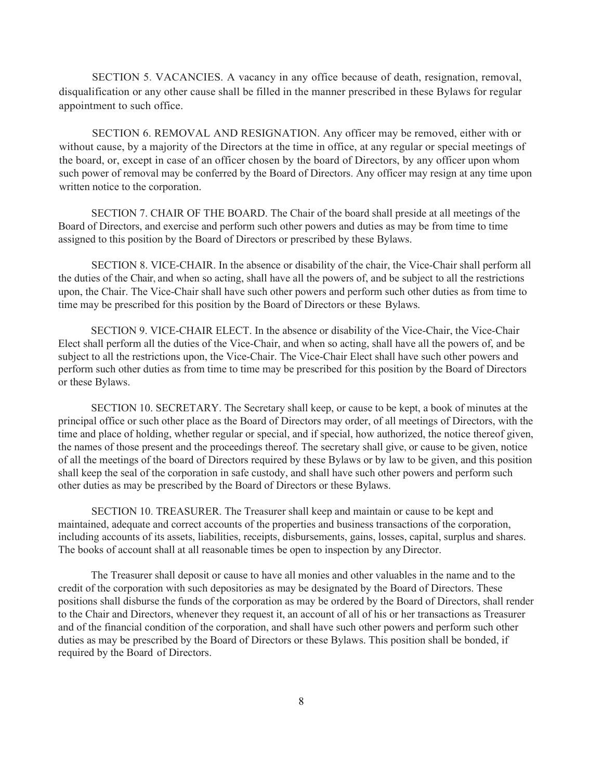SECTION 5. VACANCIES. A vacancy in any office because of death, resignation, removal, disqualification or any other cause shall be filled in the manner prescribed in these Bylaws for regular appointment to such office.

SECTION 6. REMOVAL AND RESIGNATION. Any officer may be removed, either with or without cause, by a majority of the Directors at the time in office, at any regular or special meetings of the board, or, except in case of an officer chosen by the board of Directors, by any officer upon whom such power of removal may be conferred by the Board of Directors. Any officer may resign at any time upon written notice to the corporation.

SECTION 7. CHAIR OF THE BOARD. The Chair of the board shall preside at all meetings of the Board of Directors, and exercise and perform such other powers and duties as may be from time to time assigned to this position by the Board of Directors or prescribed by these Bylaws.

SECTION 8. VICE-CHAIR. In the absence or disability of the chair, the Vice-Chair shall perform all the duties of the Chair, and when so acting, shall have all the powers of, and be subject to all the restrictions upon, the Chair. The Vice-Chair shall have such other powers and perform such other duties as from time to time may be prescribed for this position by the Board of Directors or these Bylaws.

SECTION 9. VICE-CHAIR ELECT. In the absence or disability of the Vice-Chair, the Vice-Chair Elect shall perform all the duties of the Vice-Chair, and when so acting, shall have all the powers of, and be subject to all the restrictions upon, the Vice-Chair. The Vice-Chair Elect shall have such other powers and perform such other duties as from time to time may be prescribed for this position by the Board of Directors or these Bylaws.

SECTION 10. SECRETARY. The Secretary shall keep, or cause to be kept, a book of minutes at the principal office or such other place as the Board of Directors may order, of all meetings of Directors, with the time and place of holding, whether regular or special, and if special, how authorized, the notice thereof given, the names of those present and the proceedings thereof. The secretary shall give, or cause to be given, notice of all the meetings of the board of Directors required by these Bylaws or by law to be given, and this position shall keep the seal of the corporation in safe custody, and shall have such other powers and perform such other duties as may be prescribed by the Board of Directors or these Bylaws.

SECTION 10. TREASURER. The Treasurer shall keep and maintain or cause to be kept and maintained, adequate and correct accounts of the properties and business transactions of the corporation, including accounts of its assets, liabilities, receipts, disbursements, gains, losses, capital, surplus and shares. The books of account shall at all reasonable times be open to inspection by any Director.

The Treasurer shall deposit or cause to have all monies and other valuables in the name and to the credit of the corporation with such depositories as may be designated by the Board of Directors. These positions shall disburse the funds of the corporation as may be ordered by the Board of Directors, shall render to the Chair and Directors, whenever they request it, an account of all of his or her transactions as Treasurer and of the financial condition of the corporation, and shall have such other powers and perform such other duties as may be prescribed by the Board of Directors or these Bylaws. This position shall be bonded, if required by the Board of Directors.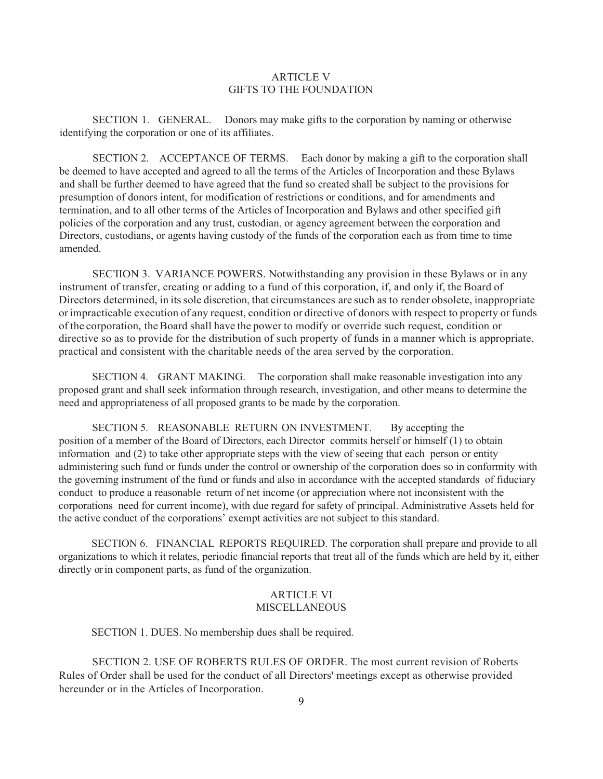#### ARTICLE V GIFTS TO THE FOUNDATION

SECTION 1. GENERAL. Donors may make gifts to the corporation by naming or otherwise identifying the corporation or one of its affiliates.

SECTION 2. ACCEPTANCE OF TERMS. Each donor by making a gift to the corporation shall be deemed to have accepted and agreed to all the terms of the Articles of Incorporation and these Bylaws and shall be further deemed to have agreed that the fund so created shall be subject to the provisions for presumption of donors intent, for modification of restrictions or conditions, and for amendments and termination, and to all other terms of the Articles of Incorporation and Bylaws and other specified gift policies of the corporation and any trust, custodian, or agency agreement between the corporation and Directors, custodians, or agents having custody of the funds of the corporation each as from time to time amended.

SEC'IION 3. VARIANCE POWERS. Notwithstanding any provision in these Bylaws or in any instrument of transfer, creating or adding to a fund of this corporation, if, and only if, the Board of Directors determined, in itssole discretion, that circumstances are such as to render obsolete, inappropriate orimpracticable execution of any request, condition or directive of donors with respect to property or funds of the corporation, the Board shall have the power to modify or override such request, condition or directive so as to provide for the distribution of such property of funds in a manner which is appropriate, practical and consistent with the charitable needs of the area served by the corporation.

SECTION 4. GRANT MAKING. The corporation shall make reasonable investigation into any proposed grant and shall seek information through research, investigation, and other means to determine the need and appropriateness of all proposed grants to be made by the corporation.

SECTION 5. REASONABLE RETURN ON INVESTMENT. By accepting the position of a member of the Board of Directors, each Director commits herself or himself (1) to obtain information and (2) to take other appropriate steps with the view of seeing that each person or entity administering such fund or funds under the control or ownership of the corporation does so in conformity with the governing instrument of the fund or funds and also in accordance with the accepted standards of fiduciary conduct to produce a reasonable return of net income (or appreciation where not inconsistent with the corporations need for current income), with due regard for safety of principal. Administrative Assets held for the active conduct of the corporations' exempt activities are not subject to this standard.

SECTION 6. FINANCIAL REPORTS REQUIRED. The corporation shall prepare and provide to all organizations to which it relates, periodic financial reports that treat all of the funds which are held by it, either directly or in component parts, as fund of the organization.

### ARTICLE VI **MISCELLANEOUS**

SECTION 1. DUES. No membership dues shall be required.

SECTION 2. USE OF ROBERTS RULES OF ORDER. The most current revision of Roberts Rules of Order shall be used for the conduct of all Directors' meetings except as otherwise provided hereunder or in the Articles of Incorporation.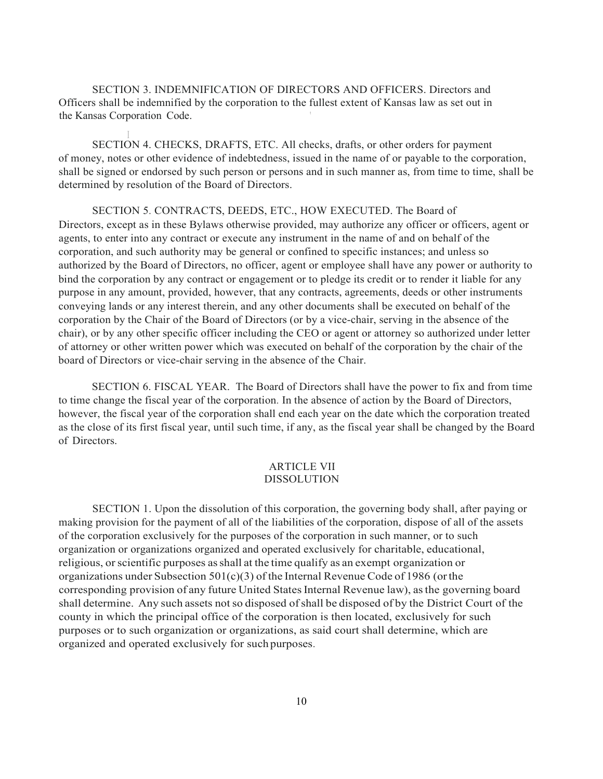SECTION 3. INDEMNIFICATION OF DIRECTORS AND OFFICERS. Directors and Officers shall be indemnified by the corporation to the fullest extent of Kansas law as set out in the Kansas Corporation Code. '

I SECTION 4. CHECKS, DRAFTS, ETC. All checks, drafts, or other orders for payment of money, notes or other evidence of indebtedness, issued in the name of or payable to the corporation, shall be signed or endorsed by such person or persons and in such manner as, from time to time, shall be determined by resolution of the Board of Directors.

SECTION 5. CONTRACTS, DEEDS, ETC., HOW EXECUTED. The Board of Directors, except as in these Bylaws otherwise provided, may authorize any officer or officers, agent or agents, to enter into any contract or execute any instrument in the name of and on behalf of the corporation, and such authority may be general or confined to specific instances; and unless so authorized by the Board of Directors, no officer, agent or employee shall have any power or authority to bind the corporation by any contract or engagement or to pledge its credit or to render it liable for any purpose in any amount, provided, however, that any contracts, agreements, deeds or other instruments conveying lands or any interest therein, and any other documents shall be executed on behalf of the corporation by the Chair of the Board of Directors (or by a vice-chair, serving in the absence of the chair), or by any other specific officer including the CEO or agent or attorney so authorized under letter of attorney or other written power which was executed on behalf of the corporation by the chair of the board of Directors or vice-chair serving in the absence of the Chair.

SECTION 6. FISCAL YEAR. The Board of Directors shall have the power to fix and from time to time change the fiscal year of the corporation. In the absence of action by the Board of Directors, however, the fiscal year of the corporation shall end each year on the date which the corporation treated as the close of its first fiscal year, until such time, if any, as the fiscal year shall be changed by the Board of Directors.

## ARTICLE VII DISSOLUTION

SECTION 1. Upon the dissolution of this corporation, the governing body shall, after paying or making provision for the payment of all of the liabilities of the corporation, dispose of all of the assets of the corporation exclusively for the purposes of the corporation in such manner, or to such organization or organizations organized and operated exclusively for charitable, educational, religious, or scientific purposes as shall at the time qualify as an exempt organization or organizations under Subsection  $501(c)(3)$  of the Internal Revenue Code of 1986 (or the corresponding provision of any future United States Internal Revenue law), as the governing board shall determine. Any such assets not so disposed of shall be disposed of by the District Court of the county in which the principal office of the corporation is then located, exclusively for such purposes or to such organization or organizations, as said court shall determine, which are organized and operated exclusively for such purposes.